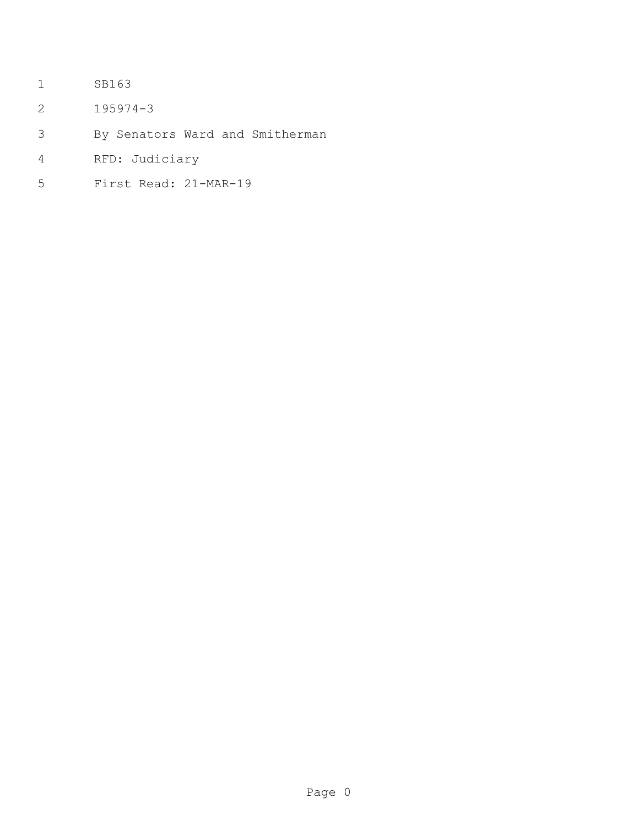- SB163
- 195974-3
- By Senators Ward and Smitherman
- RFD: Judiciary
- First Read: 21-MAR-19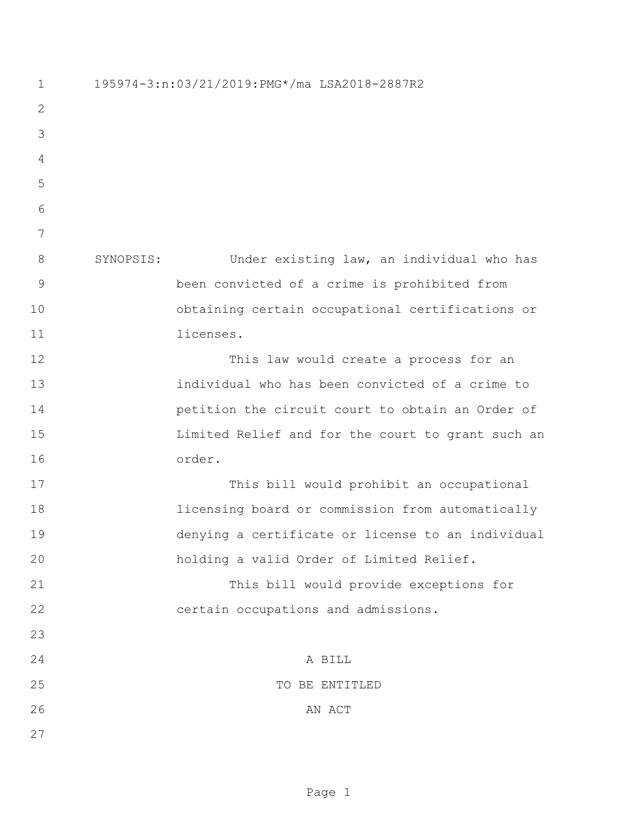195974-3:n:03/21/2019:PMG\*/ma LSA2018-2887R2 SYNOPSIS: Under existing law, an individual who has been convicted of a crime is prohibited from obtaining certain occupational certifications or licenses. This law would create a process for an individual who has been convicted of a crime to petition the circuit court to obtain an Order of Limited Relief and for the court to grant such an order. This bill would prohibit an occupational licensing board or commission from automatically denying a certificate or license to an individual holding a valid Order of Limited Relief. This bill would provide exceptions for certain occupations and admissions. A BILL 25 TO BE ENTITLED 26 AN ACT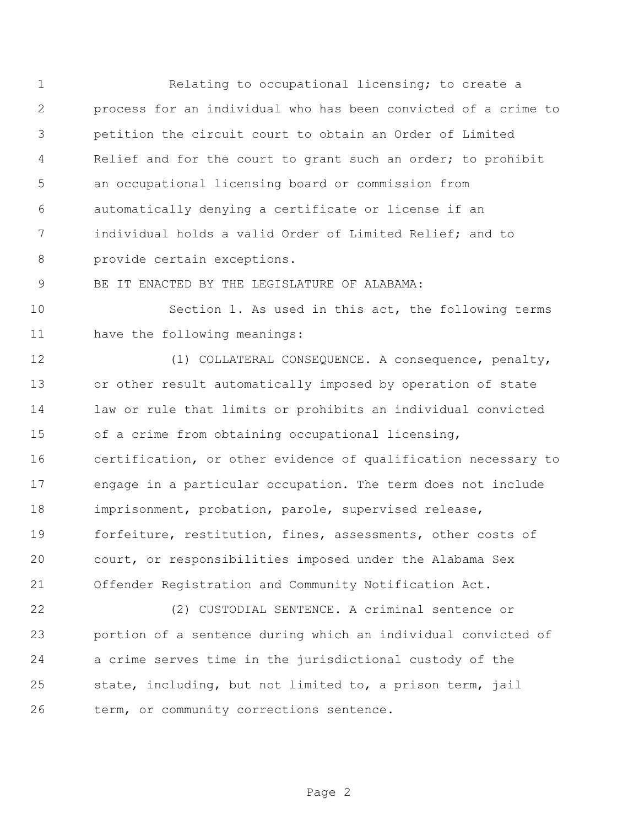Relating to occupational licensing; to create a process for an individual who has been convicted of a crime to petition the circuit court to obtain an Order of Limited 4 Relief and for the court to grant such an order; to prohibit an occupational licensing board or commission from automatically denying a certificate or license if an individual holds a valid Order of Limited Relief; and to provide certain exceptions.

BE IT ENACTED BY THE LEGISLATURE OF ALABAMA:

 Section 1. As used in this act, the following terms have the following meanings:

 (1) COLLATERAL CONSEQUENCE. A consequence, penalty, or other result automatically imposed by operation of state law or rule that limits or prohibits an individual convicted of a crime from obtaining occupational licensing, certification, or other evidence of qualification necessary to engage in a particular occupation. The term does not include imprisonment, probation, parole, supervised release, forfeiture, restitution, fines, assessments, other costs of court, or responsibilities imposed under the Alabama Sex Offender Registration and Community Notification Act.

 (2) CUSTODIAL SENTENCE. A criminal sentence or portion of a sentence during which an individual convicted of a crime serves time in the jurisdictional custody of the state, including, but not limited to, a prison term, jail term, or community corrections sentence.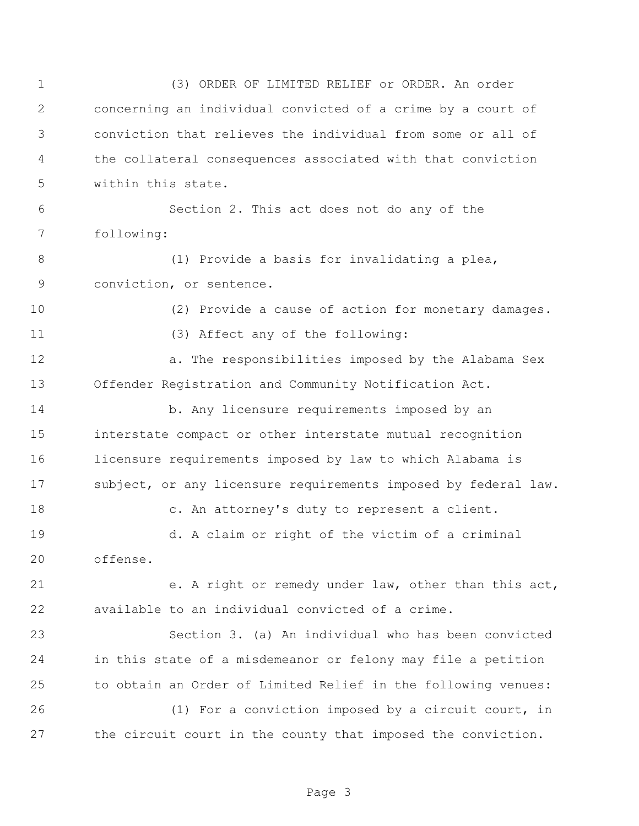(3) ORDER OF LIMITED RELIEF or ORDER. An order concerning an individual convicted of a crime by a court of conviction that relieves the individual from some or all of the collateral consequences associated with that conviction within this state. Section 2. This act does not do any of the following: (1) Provide a basis for invalidating a plea, conviction, or sentence. (2) Provide a cause of action for monetary damages. (3) Affect any of the following: **12 a.** The responsibilities imposed by the Alabama Sex Offender Registration and Community Notification Act. b. Any licensure requirements imposed by an interstate compact or other interstate mutual recognition licensure requirements imposed by law to which Alabama is 17 subject, or any licensure requirements imposed by federal law. c. An attorney's duty to represent a client. d. A claim or right of the victim of a criminal offense. e. A right or remedy under law, other than this act, available to an individual convicted of a crime. Section 3. (a) An individual who has been convicted in this state of a misdemeanor or felony may file a petition to obtain an Order of Limited Relief in the following venues: (1) For a conviction imposed by a circuit court, in the circuit court in the county that imposed the conviction.

Page 3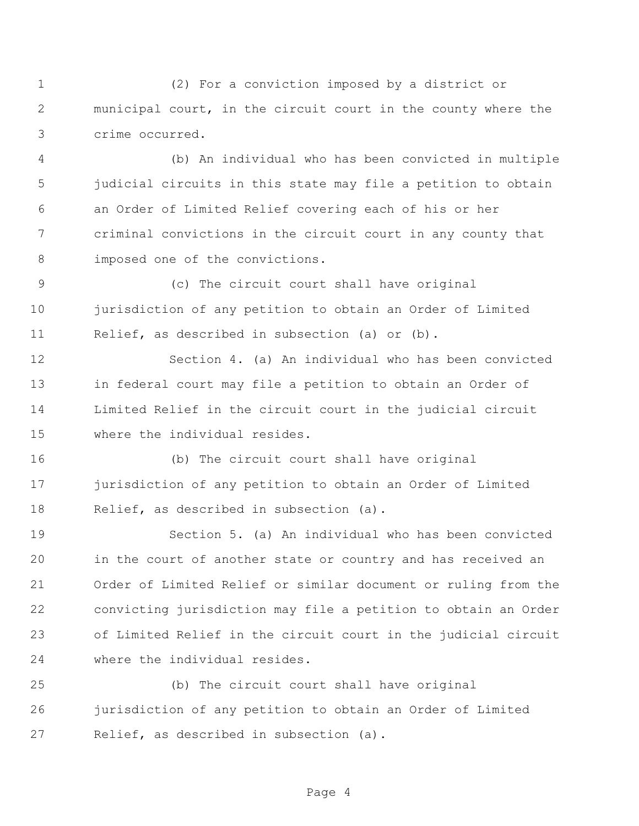(2) For a conviction imposed by a district or municipal court, in the circuit court in the county where the crime occurred.

 (b) An individual who has been convicted in multiple judicial circuits in this state may file a petition to obtain an Order of Limited Relief covering each of his or her criminal convictions in the circuit court in any county that 8 imposed one of the convictions.

 (c) The circuit court shall have original jurisdiction of any petition to obtain an Order of Limited Relief, as described in subsection (a) or (b).

 Section 4. (a) An individual who has been convicted in federal court may file a petition to obtain an Order of Limited Relief in the circuit court in the judicial circuit where the individual resides.

 (b) The circuit court shall have original jurisdiction of any petition to obtain an Order of Limited Relief, as described in subsection (a).

 Section 5. (a) An individual who has been convicted in the court of another state or country and has received an Order of Limited Relief or similar document or ruling from the convicting jurisdiction may file a petition to obtain an Order of Limited Relief in the circuit court in the judicial circuit where the individual resides.

 (b) The circuit court shall have original jurisdiction of any petition to obtain an Order of Limited Relief, as described in subsection (a).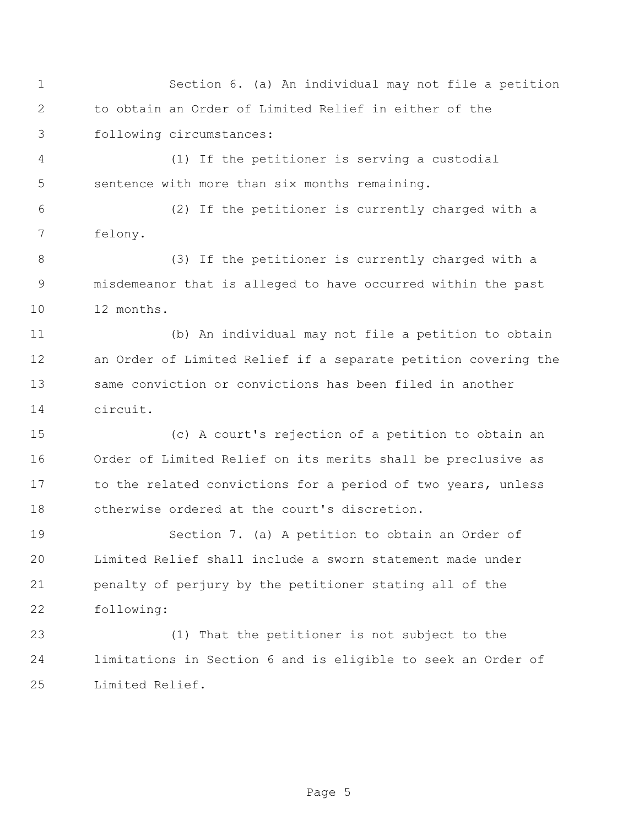Section 6. (a) An individual may not file a petition to obtain an Order of Limited Relief in either of the following circumstances:

 (1) If the petitioner is serving a custodial sentence with more than six months remaining.

 (2) If the petitioner is currently charged with a felony.

 (3) If the petitioner is currently charged with a misdemeanor that is alleged to have occurred within the past 12 months.

 (b) An individual may not file a petition to obtain an Order of Limited Relief if a separate petition covering the same conviction or convictions has been filed in another circuit.

 (c) A court's rejection of a petition to obtain an Order of Limited Relief on its merits shall be preclusive as 17 to the related convictions for a period of two years, unless otherwise ordered at the court's discretion.

 Section 7. (a) A petition to obtain an Order of Limited Relief shall include a sworn statement made under penalty of perjury by the petitioner stating all of the following:

 (1) That the petitioner is not subject to the limitations in Section 6 and is eligible to seek an Order of Limited Relief.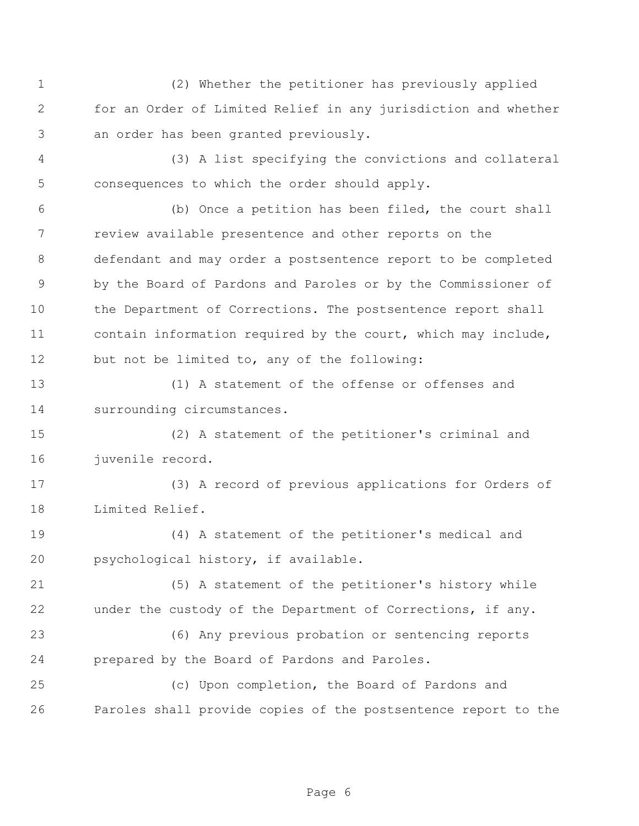(2) Whether the petitioner has previously applied for an Order of Limited Relief in any jurisdiction and whether an order has been granted previously.

 (3) A list specifying the convictions and collateral consequences to which the order should apply.

 (b) Once a petition has been filed, the court shall review available presentence and other reports on the defendant and may order a postsentence report to be completed by the Board of Pardons and Paroles or by the Commissioner of the Department of Corrections. The postsentence report shall contain information required by the court, which may include, but not be limited to, any of the following:

 (1) A statement of the offense or offenses and surrounding circumstances.

 (2) A statement of the petitioner's criminal and juvenile record.

 (3) A record of previous applications for Orders of Limited Relief.

 (4) A statement of the petitioner's medical and psychological history, if available.

 (5) A statement of the petitioner's history while under the custody of the Department of Corrections, if any.

 (6) Any previous probation or sentencing reports prepared by the Board of Pardons and Paroles.

 (c) Upon completion, the Board of Pardons and Paroles shall provide copies of the postsentence report to the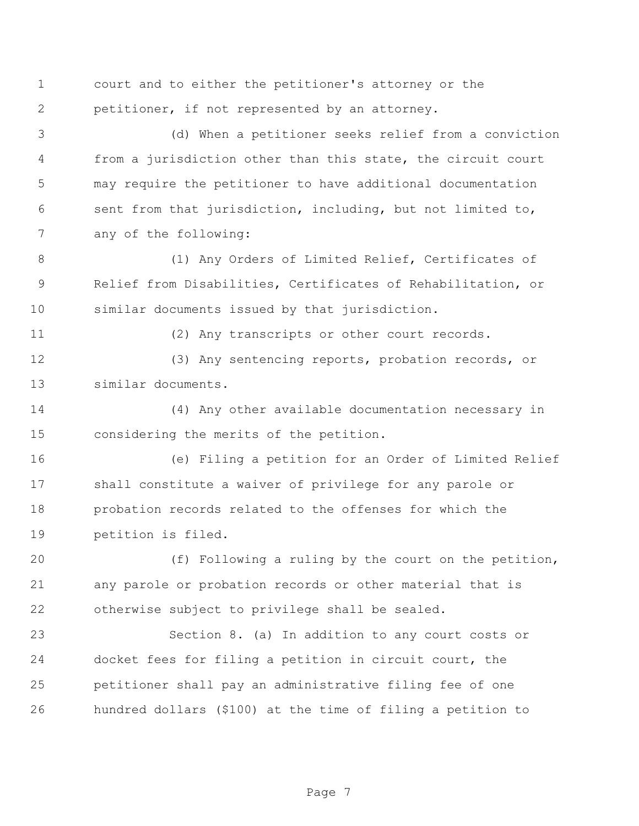court and to either the petitioner's attorney or the petitioner, if not represented by an attorney.

 (d) When a petitioner seeks relief from a conviction from a jurisdiction other than this state, the circuit court may require the petitioner to have additional documentation sent from that jurisdiction, including, but not limited to, any of the following:

 (1) Any Orders of Limited Relief, Certificates of Relief from Disabilities, Certificates of Rehabilitation, or similar documents issued by that jurisdiction.

(2) Any transcripts or other court records.

 (3) Any sentencing reports, probation records, or similar documents.

 (4) Any other available documentation necessary in considering the merits of the petition.

 (e) Filing a petition for an Order of Limited Relief shall constitute a waiver of privilege for any parole or probation records related to the offenses for which the petition is filed.

 (f) Following a ruling by the court on the petition, any parole or probation records or other material that is otherwise subject to privilege shall be sealed.

 Section 8. (a) In addition to any court costs or docket fees for filing a petition in circuit court, the petitioner shall pay an administrative filing fee of one hundred dollars (\$100) at the time of filing a petition to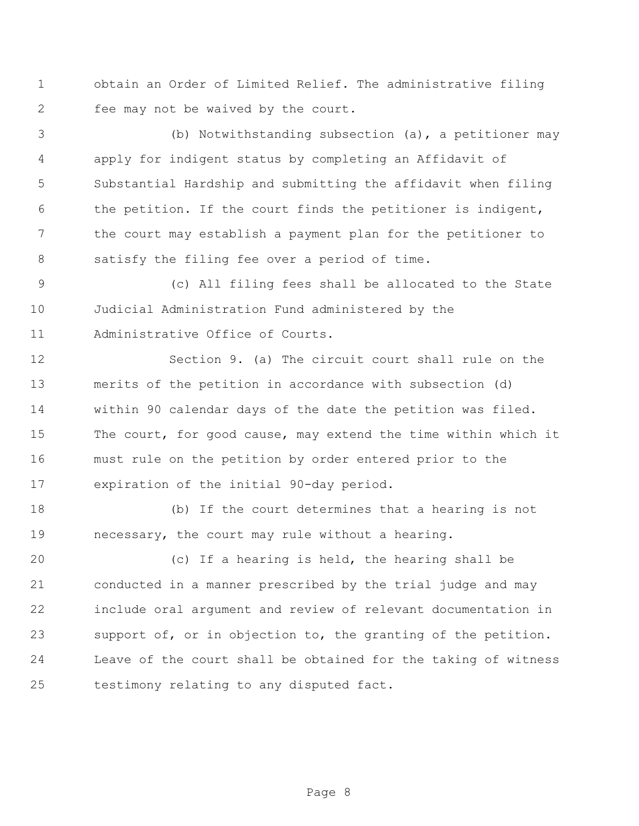obtain an Order of Limited Relief. The administrative filing fee may not be waived by the court.

 (b) Notwithstanding subsection (a), a petitioner may apply for indigent status by completing an Affidavit of Substantial Hardship and submitting the affidavit when filing the petition. If the court finds the petitioner is indigent, the court may establish a payment plan for the petitioner to satisfy the filing fee over a period of time.

 (c) All filing fees shall be allocated to the State Judicial Administration Fund administered by the Administrative Office of Courts.

 Section 9. (a) The circuit court shall rule on the merits of the petition in accordance with subsection (d) within 90 calendar days of the date the petition was filed. The court, for good cause, may extend the time within which it must rule on the petition by order entered prior to the expiration of the initial 90-day period.

 (b) If the court determines that a hearing is not necessary, the court may rule without a hearing.

 (c) If a hearing is held, the hearing shall be conducted in a manner prescribed by the trial judge and may include oral argument and review of relevant documentation in support of, or in objection to, the granting of the petition. Leave of the court shall be obtained for the taking of witness testimony relating to any disputed fact.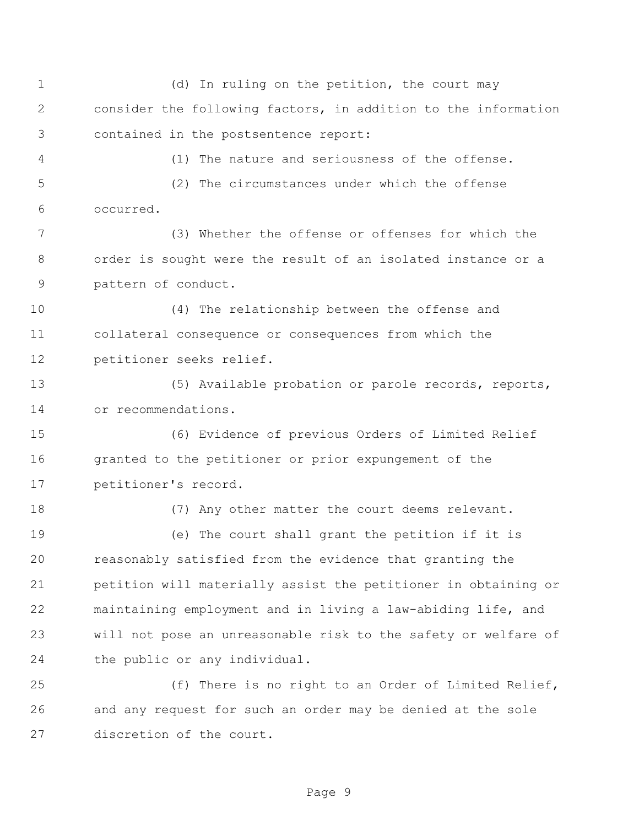(d) In ruling on the petition, the court may consider the following factors, in addition to the information contained in the postsentence report: (1) The nature and seriousness of the offense. (2) The circumstances under which the offense occurred. (3) Whether the offense or offenses for which the order is sought were the result of an isolated instance or a pattern of conduct. (4) The relationship between the offense and collateral consequence or consequences from which the petitioner seeks relief. (5) Available probation or parole records, reports, or recommendations. (6) Evidence of previous Orders of Limited Relief 16 granted to the petitioner or prior expungement of the petitioner's record. (7) Any other matter the court deems relevant. (e) The court shall grant the petition if it is reasonably satisfied from the evidence that granting the petition will materially assist the petitioner in obtaining or maintaining employment and in living a law-abiding life, and will not pose an unreasonable risk to the safety or welfare of the public or any individual. (f) There is no right to an Order of Limited Relief, and any request for such an order may be denied at the sole discretion of the court.

Page 9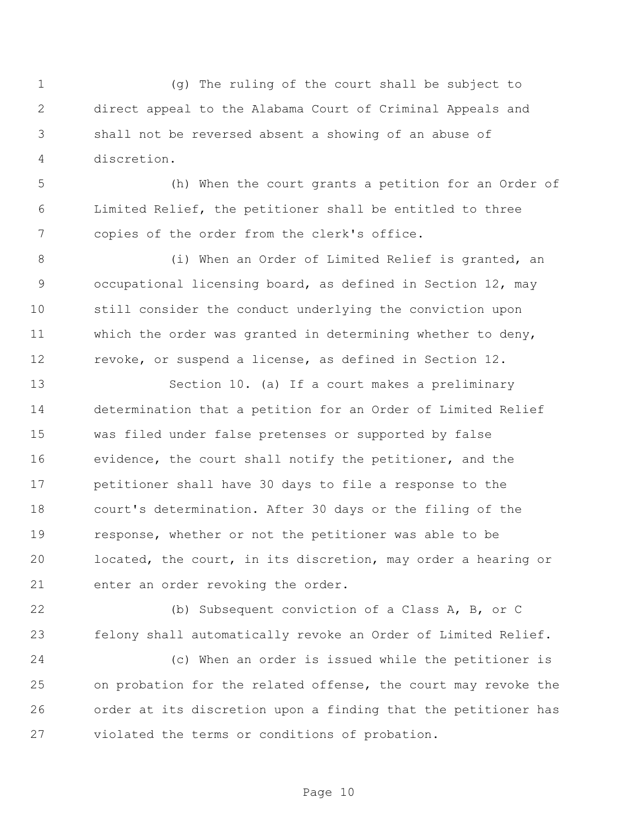(g) The ruling of the court shall be subject to direct appeal to the Alabama Court of Criminal Appeals and shall not be reversed absent a showing of an abuse of discretion.

 (h) When the court grants a petition for an Order of Limited Relief, the petitioner shall be entitled to three copies of the order from the clerk's office.

 (i) When an Order of Limited Relief is granted, an occupational licensing board, as defined in Section 12, may still consider the conduct underlying the conviction upon which the order was granted in determining whether to deny, revoke, or suspend a license, as defined in Section 12.

 Section 10. (a) If a court makes a preliminary determination that a petition for an Order of Limited Relief was filed under false pretenses or supported by false evidence, the court shall notify the petitioner, and the petitioner shall have 30 days to file a response to the court's determination. After 30 days or the filing of the response, whether or not the petitioner was able to be located, the court, in its discretion, may order a hearing or enter an order revoking the order.

 (b) Subsequent conviction of a Class A, B, or C felony shall automatically revoke an Order of Limited Relief.

 (c) When an order is issued while the petitioner is on probation for the related offense, the court may revoke the order at its discretion upon a finding that the petitioner has violated the terms or conditions of probation.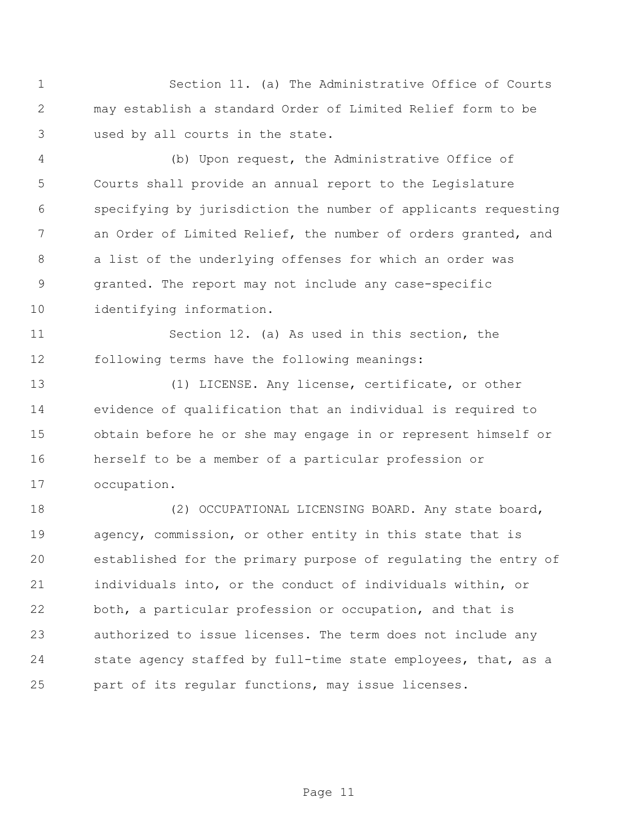Section 11. (a) The Administrative Office of Courts may establish a standard Order of Limited Relief form to be used by all courts in the state.

 (b) Upon request, the Administrative Office of Courts shall provide an annual report to the Legislature specifying by jurisdiction the number of applicants requesting an Order of Limited Relief, the number of orders granted, and a list of the underlying offenses for which an order was granted. The report may not include any case-specific identifying information.

 Section 12. (a) As used in this section, the following terms have the following meanings:

 (1) LICENSE. Any license, certificate, or other evidence of qualification that an individual is required to obtain before he or she may engage in or represent himself or herself to be a member of a particular profession or occupation.

18 (2) OCCUPATIONAL LICENSING BOARD. Any state board, agency, commission, or other entity in this state that is established for the primary purpose of regulating the entry of individuals into, or the conduct of individuals within, or both, a particular profession or occupation, and that is authorized to issue licenses. The term does not include any 24 state agency staffed by full-time state employees, that, as a part of its regular functions, may issue licenses.